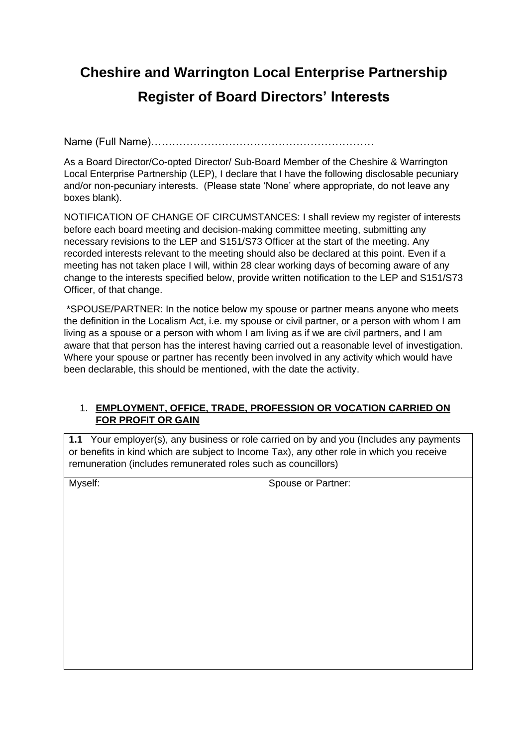# **Cheshire and Warrington Local Enterprise Partnership Register of Board Directors' Interests**

Name (Full Name)………………………………………………………

As a Board Director/Co-opted Director/ Sub-Board Member of the Cheshire & Warrington Local Enterprise Partnership (LEP), I declare that I have the following disclosable pecuniary and/or non-pecuniary interests. (Please state 'None' where appropriate, do not leave any boxes blank).

NOTIFICATION OF CHANGE OF CIRCUMSTANCES: I shall review my register of interests before each board meeting and decision-making committee meeting, submitting any necessary revisions to the LEP and S151/S73 Officer at the start of the meeting. Any recorded interests relevant to the meeting should also be declared at this point. Even if a meeting has not taken place I will, within 28 clear working days of becoming aware of any change to the interests specified below, provide written notification to the LEP and S151/S73 Officer, of that change.

\*SPOUSE/PARTNER: In the notice below my spouse or partner means anyone who meets the definition in the Localism Act, i.e. my spouse or civil partner, or a person with whom I am living as a spouse or a person with whom I am living as if we are civil partners, and I am aware that that person has the interest having carried out a reasonable level of investigation. Where your spouse or partner has recently been involved in any activity which would have been declarable, this should be mentioned, with the date the activity.

### 1. **EMPLOYMENT, OFFICE, TRADE, PROFESSION OR VOCATION CARRIED ON FOR PROFIT OR GAIN**

**1.1** Your employer(s), any business or role carried on by and you (Includes any payments or benefits in kind which are subject to Income Tax), any other role in which you receive remuneration (includes remunerated roles such as councillors)

| Myself: | Spouse or Partner: |
|---------|--------------------|
|         |                    |
|         |                    |
|         |                    |
|         |                    |
|         |                    |
|         |                    |
|         |                    |
|         |                    |
|         |                    |
|         |                    |
|         |                    |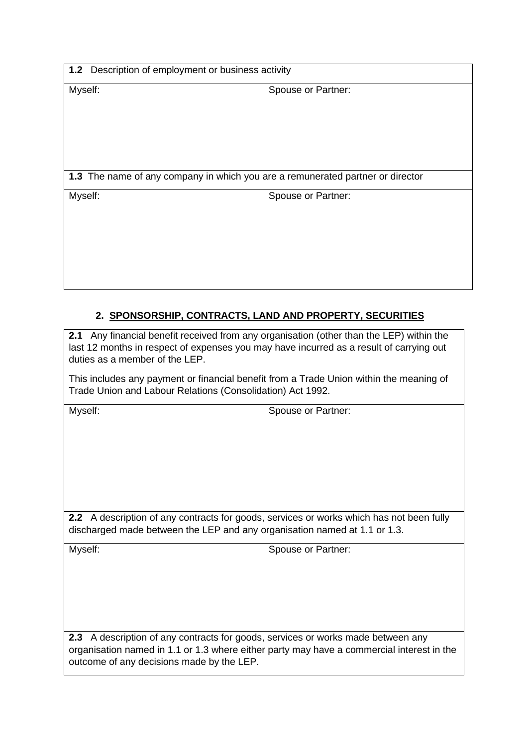| 1.2 Description of employment or business activity                             |                    |  |
|--------------------------------------------------------------------------------|--------------------|--|
| Myself:                                                                        | Spouse or Partner: |  |
| 1.3 The name of any company in which you are a remunerated partner or director |                    |  |
| Myself:                                                                        | Spouse or Partner: |  |

## **2. SPONSORSHIP, CONTRACTS, LAND AND PROPERTY, SECURITIES**

**2.1** Any financial benefit received from any organisation (other than the LEP) within the last 12 months in respect of expenses you may have incurred as a result of carrying out duties as a member of the LEP.

This includes any payment or financial benefit from a Trade Union within the meaning of Trade Union and Labour Relations (Consolidation) Act 1992.

| Myself:                                                                                                                                                                                                                       | Spouse or Partner: |  |
|-------------------------------------------------------------------------------------------------------------------------------------------------------------------------------------------------------------------------------|--------------------|--|
| <b>2.2</b> A description of any contracts for goods, services or works which has not been fully<br>discharged made between the LEP and any organisation named at 1.1 or 1.3.                                                  |                    |  |
| Myself:                                                                                                                                                                                                                       | Spouse or Partner: |  |
| A description of any contracts for goods, services or works made between any<br>2.3<br>organisation named in 1.1 or 1.3 where either party may have a commercial interest in the<br>outcome of any decisions made by the LEP. |                    |  |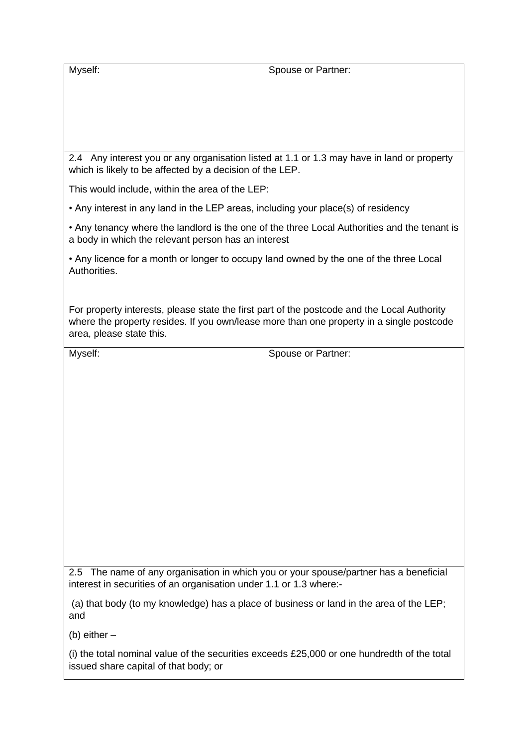| Myself:                                                                                                                                                                                                             | Spouse or Partner: |  |
|---------------------------------------------------------------------------------------------------------------------------------------------------------------------------------------------------------------------|--------------------|--|
|                                                                                                                                                                                                                     |                    |  |
|                                                                                                                                                                                                                     |                    |  |
|                                                                                                                                                                                                                     |                    |  |
|                                                                                                                                                                                                                     |                    |  |
|                                                                                                                                                                                                                     |                    |  |
| 2.4 Any interest you or any organisation listed at 1.1 or 1.3 may have in land or property<br>which is likely to be affected by a decision of the LEP.                                                              |                    |  |
| This would include, within the area of the LEP:                                                                                                                                                                     |                    |  |
| • Any interest in any land in the LEP areas, including your place(s) of residency                                                                                                                                   |                    |  |
| • Any tenancy where the landlord is the one of the three Local Authorities and the tenant is<br>a body in which the relevant person has an interest                                                                 |                    |  |
| • Any licence for a month or longer to occupy land owned by the one of the three Local<br>Authorities.                                                                                                              |                    |  |
|                                                                                                                                                                                                                     |                    |  |
| For property interests, please state the first part of the postcode and the Local Authority<br>where the property resides. If you own/lease more than one property in a single postcode<br>area, please state this. |                    |  |
| Myself:                                                                                                                                                                                                             | Spouse or Partner: |  |
|                                                                                                                                                                                                                     |                    |  |
|                                                                                                                                                                                                                     |                    |  |
|                                                                                                                                                                                                                     |                    |  |
|                                                                                                                                                                                                                     |                    |  |
|                                                                                                                                                                                                                     |                    |  |
|                                                                                                                                                                                                                     |                    |  |
|                                                                                                                                                                                                                     |                    |  |
|                                                                                                                                                                                                                     |                    |  |
|                                                                                                                                                                                                                     |                    |  |
|                                                                                                                                                                                                                     |                    |  |
|                                                                                                                                                                                                                     |                    |  |
|                                                                                                                                                                                                                     |                    |  |
|                                                                                                                                                                                                                     |                    |  |
|                                                                                                                                                                                                                     |                    |  |
| The name of any organisation in which you or your spouse/partner has a beneficial<br>$2.5^{\circ}$<br>interest in securities of an organisation under 1.1 or 1.3 where:-                                            |                    |  |
| (a) that body (to my knowledge) has a place of business or land in the area of the LEP;<br>and                                                                                                                      |                    |  |

(b) either –

(i) the total nominal value of the securities exceeds £25,000 or one hundredth of the total issued share capital of that body; or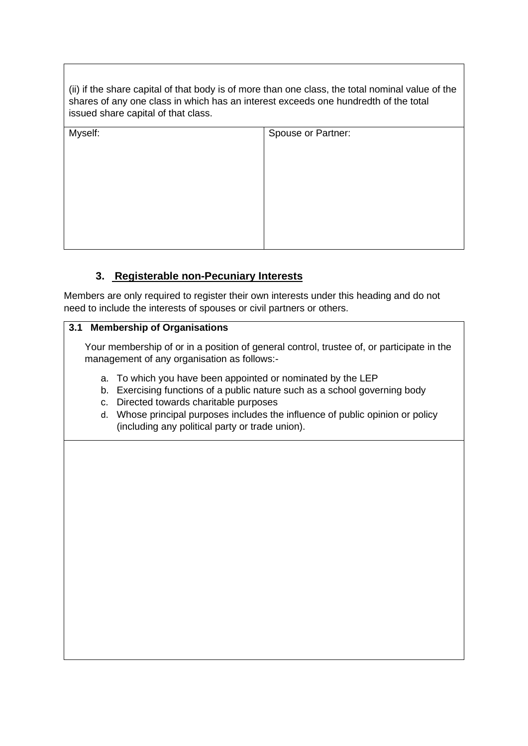(ii) if the share capital of that body is of more than one class, the total nominal value of the shares of any one class in which has an interest exceeds one hundredth of the total issued share capital of that class.

| Myself: | Spouse or Partner: |
|---------|--------------------|
|         |                    |
|         |                    |
|         |                    |
|         |                    |
|         |                    |
|         |                    |
|         |                    |
|         |                    |
|         |                    |

## **3. Registerable non-Pecuniary Interests**

Members are only required to register their own interests under this heading and do not need to include the interests of spouses or civil partners or others.

### **3.1 Membership of Organisations**

Your membership of or in a position of general control, trustee of, or participate in the management of any organisation as follows:-

- a. To which you have been appointed or nominated by the LEP
- b. Exercising functions of a public nature such as a school governing body
- c. Directed towards charitable purposes
- d. Whose principal purposes includes the influence of public opinion or policy (including any political party or trade union).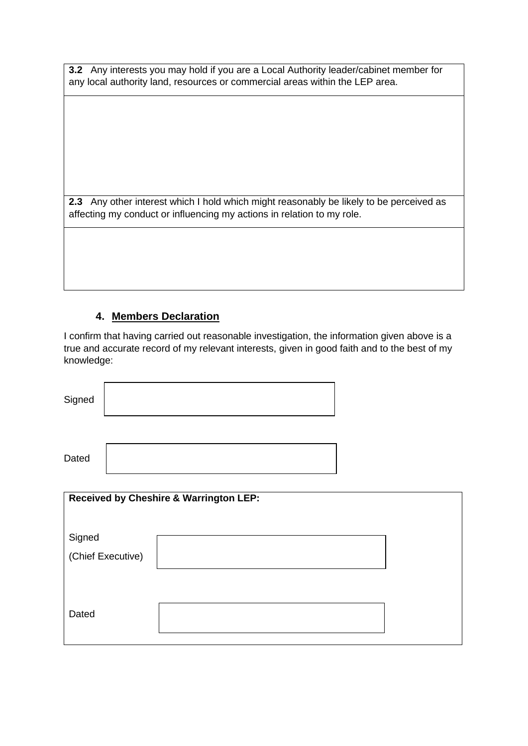**3.2** Any interests you may hold if you are a Local Authority leader/cabinet member for any local authority land, resources or commercial areas within the LEP area.

**2.3** Any other interest which I hold which might reasonably be likely to be perceived as affecting my conduct or influencing my actions in relation to my role.

## **4. Members Declaration**

I confirm that having carried out reasonable investigation, the information given above is a true and accurate record of my relevant interests, given in good faith and to the best of my knowledge:

| Signed                      |                                                   |  |
|-----------------------------|---------------------------------------------------|--|
| Dated                       |                                                   |  |
|                             | <b>Received by Cheshire &amp; Warrington LEP:</b> |  |
| Signed<br>(Chief Executive) |                                                   |  |
| Dated                       |                                                   |  |